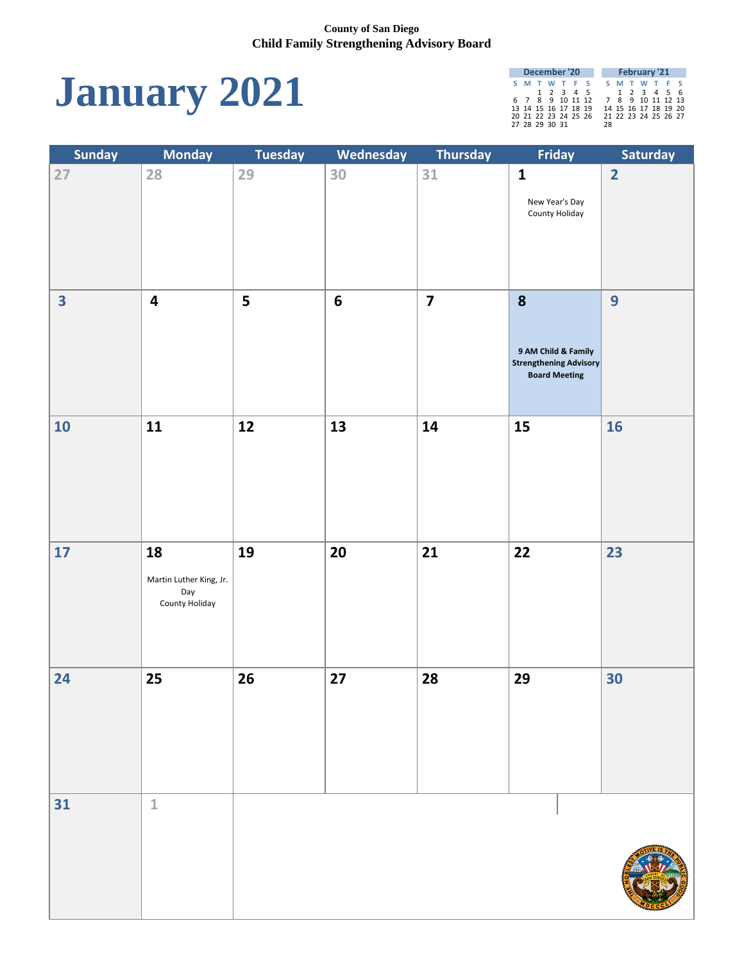

| December '20 |  |  |                      |  |  |                      | <b>February '21</b> |  |                      |  |
|--------------|--|--|----------------------|--|--|----------------------|---------------------|--|----------------------|--|
|              |  |  | S M T W T F S        |  |  |                      |                     |  | S M T W T F S        |  |
|              |  |  | 1 2 3 4 5            |  |  |                      |                     |  | 1 2 3 4 5 6          |  |
|              |  |  | 6 7 8 9 10 11 12     |  |  |                      | 7 8 9 10 11 12 13   |  |                      |  |
|              |  |  | 13 14 15 16 17 18 19 |  |  |                      |                     |  | 14 15 16 17 18 19 20 |  |
|              |  |  |                      |  |  | 20 21 22 23 24 25 26 |                     |  | 21 22 23 24 25 26 27 |  |
|              |  |  | 27 28 29 30 31       |  |  |                      | 28.                 |  |                      |  |

| <b>Sunday</b>           | <b>Monday</b>                                          | <b>Tuesday</b> | <b>Wednesday</b> | Thursday                | Friday                                                                            | Saturday       |
|-------------------------|--------------------------------------------------------|----------------|------------------|-------------------------|-----------------------------------------------------------------------------------|----------------|
| 27                      | 28                                                     | 29             | 30               | 31                      | $\mathbf{1}$<br>New Year's Day<br>County Holiday                                  | $\overline{2}$ |
| $\overline{\mathbf{3}}$ | $\overline{\mathbf{4}}$                                | 5              | $6\phantom{1}6$  | $\overline{\mathbf{7}}$ | 8<br>9 AM Child & Family<br><b>Strengthening Advisory</b><br><b>Board Meeting</b> | 9              |
| 10                      | 11                                                     | 12             | 13               | 14                      | 15                                                                                | <b>16</b>      |
| 17                      | 18<br>Martin Luther King, Jr.<br>Day<br>County Holiday | 19             | 20               | 21                      | 22                                                                                | 23             |
| 24                      | 25                                                     | 26             | 27               | 28                      | 29                                                                                | 30             |
| 31                      | $\mathbf{1}$                                           |                |                  |                         |                                                                                   |                |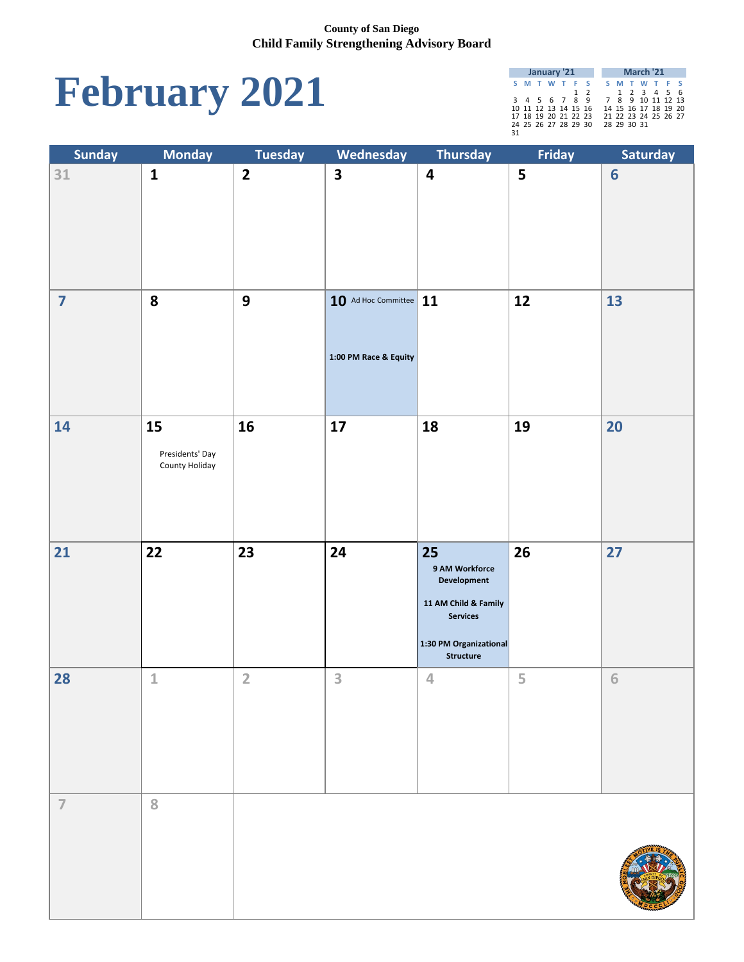# **February 2021**

|    | January '21 |                      |  |  |  |     |  |                   |             | March '21            |  |  |
|----|-------------|----------------------|--|--|--|-----|--|-------------------|-------------|----------------------|--|--|
|    |             | S M T W T F S        |  |  |  |     |  |                   |             | S M T W T F S        |  |  |
|    |             |                      |  |  |  | 1 2 |  |                   |             | 1 2 3 4 5 6          |  |  |
|    |             | 3 4 5 6 7 8 9        |  |  |  |     |  | 7 8 9 10 11 12 13 |             |                      |  |  |
|    |             | 10 11 12 13 14 15 16 |  |  |  |     |  |                   |             | 14 15 16 17 18 19 20 |  |  |
|    |             | 17 18 19 20 21 22 23 |  |  |  |     |  |                   |             | 21 22 23 24 25 26 27 |  |  |
|    |             | 24 25 26 27 28 29 30 |  |  |  |     |  |                   | 28 29 30 31 |                      |  |  |
| 31 |             |                      |  |  |  |     |  |                   |             |                      |  |  |

| <b>Sunday</b>           | <b>Monday</b>                           | <b>Tuesday</b>   | Wednesday                                         | Thursday                                                                                                                            | Friday | Saturday        |
|-------------------------|-----------------------------------------|------------------|---------------------------------------------------|-------------------------------------------------------------------------------------------------------------------------------------|--------|-----------------|
| 31                      | $\mathbf{1}$                            | $\overline{2}$   | $\overline{\mathbf{3}}$                           | $\boldsymbol{4}$                                                                                                                    | 5      | $6\phantom{1}6$ |
| $\overline{\mathbf{z}}$ | 8                                       | $\boldsymbol{9}$ | $10$ Ad Hoc Committee 11<br>1:00 PM Race & Equity |                                                                                                                                     | 12     | 13              |
| 14                      | 15<br>Presidents' Day<br>County Holiday | 16               | 17                                                | 18                                                                                                                                  | 19     | 20              |
| 21                      | 22                                      | 23               | 24                                                | 25<br>9 AM Workforce<br><b>Development</b><br>11 AM Child & Family<br><b>Services</b><br>1:30 PM Organizational<br><b>Structure</b> | 26     | 27              |
| 28                      | $\mathbf{1}$                            | $\overline{2}$   | 3                                                 | 4                                                                                                                                   | 5      | 6               |
| $\overline{I}$          | 8                                       |                  |                                                   |                                                                                                                                     |        |                 |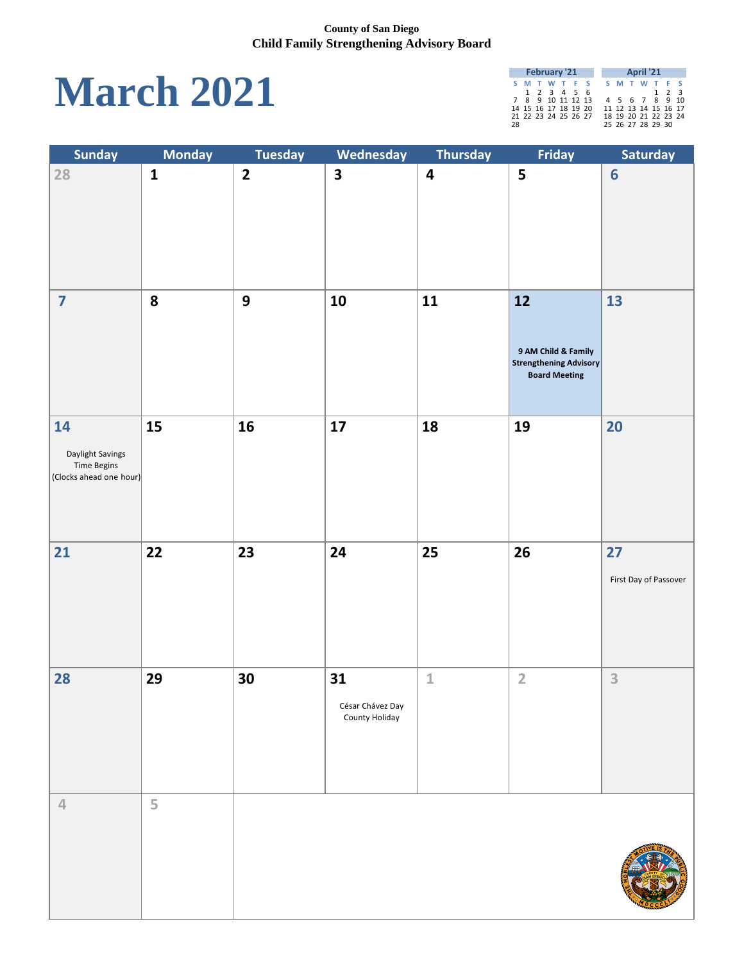## **March 2021**

|    | <b>February '21</b> |                      |  |  |  |  |  |  | <b>April '21</b>  |                      |  |
|----|---------------------|----------------------|--|--|--|--|--|--|-------------------|----------------------|--|
|    |                     | S M T W T F S        |  |  |  |  |  |  |                   | S M T W T F S        |  |
|    |                     | 1 2 3 4 5 6          |  |  |  |  |  |  |                   | $1 \quad 2 \quad 3$  |  |
|    |                     | 7 8 9 10 11 12 13    |  |  |  |  |  |  |                   | 4 5 6 7 8 9 10       |  |
|    |                     | 14 15 16 17 18 19 20 |  |  |  |  |  |  |                   | 11 12 13 14 15 16 17 |  |
|    |                     | 21 22 23 24 25 26 27 |  |  |  |  |  |  |                   | 18 19 20 21 22 23 24 |  |
| 28 |                     |                      |  |  |  |  |  |  | 25 26 27 28 29 30 |                      |  |

| <b>Sunday</b>                                                           | <b>Monday</b> | <b>Tuesday</b>          | Wednesday                                | <b>Thursday</b>         | Friday                                                                             | Saturday                    |
|-------------------------------------------------------------------------|---------------|-------------------------|------------------------------------------|-------------------------|------------------------------------------------------------------------------------|-----------------------------|
| 28                                                                      | $\mathbf{1}$  | $\overline{\mathbf{2}}$ | $\overline{\mathbf{3}}$                  | $\overline{\mathbf{4}}$ | 5                                                                                  | 6                           |
| $\overline{\mathbf{7}}$                                                 | 8             | 9                       | 10                                       | 11                      | 12<br>9 AM Child & Family<br><b>Strengthening Advisory</b><br><b>Board Meeting</b> | 13                          |
| 14<br>Daylight Savings<br><b>Time Begins</b><br>(Clocks ahead one hour) | 15            | 16                      | 17                                       | 18                      | 19                                                                                 | 20                          |
| 21                                                                      | 22            | 23                      | 24                                       | 25                      | 26                                                                                 | 27<br>First Day of Passover |
| 28                                                                      | 29            | 30                      | 31<br>César Chávez Day<br>County Holiday | $\mathbf{1}$            | $\overline{2}$                                                                     | 3                           |
| $\overline{4}$                                                          | 5             |                         |                                          |                         |                                                                                    |                             |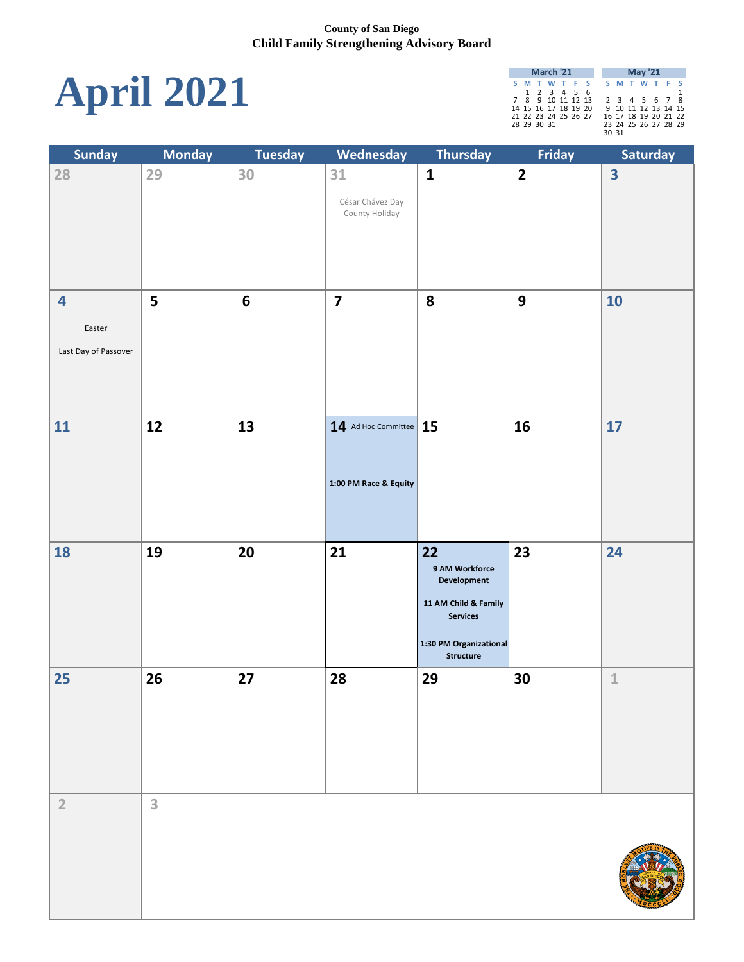

| March '21 |                      |  |  |  |  |  |       | <b>May '21</b> |                      |  |
|-----------|----------------------|--|--|--|--|--|-------|----------------|----------------------|--|
|           | S M T W T F S        |  |  |  |  |  |       |                | S M T W T F S        |  |
|           | 1 2 3 4 5 6          |  |  |  |  |  |       |                |                      |  |
|           | 7 8 9 10 11 12 13    |  |  |  |  |  |       |                | 2 3 4 5 6 7 8        |  |
|           | 14 15 16 17 18 19 20 |  |  |  |  |  |       |                | 9 10 11 12 13 14 15  |  |
|           | 21 22 23 24 25 26 27 |  |  |  |  |  |       |                | 16 17 18 19 20 21 22 |  |
|           | 28 29 30 31          |  |  |  |  |  |       |                | 23 24 25 26 27 28 29 |  |
|           |                      |  |  |  |  |  | 30 31 |                |                      |  |

| <b>Sunday</b>           | <b>Monday</b> | <b>Tuesday</b>  | Wednesday                | Thursday                                   | Friday                  | Saturday                |
|-------------------------|---------------|-----------------|--------------------------|--------------------------------------------|-------------------------|-------------------------|
| 28                      | 29            | 30              | 31                       | $\mathbf{1}$                               | $\overline{\mathbf{2}}$ | $\overline{\mathbf{3}}$ |
|                         |               |                 | César Chávez Day         |                                            |                         |                         |
|                         |               |                 | County Holiday           |                                            |                         |                         |
|                         |               |                 |                          |                                            |                         |                         |
|                         |               |                 |                          |                                            |                         |                         |
|                         |               |                 |                          |                                            |                         |                         |
| $\overline{\mathbf{4}}$ | 5             | $6\phantom{1}6$ | $\overline{\mathbf{z}}$  | 8                                          | 9                       | 10                      |
|                         |               |                 |                          |                                            |                         |                         |
| Easter                  |               |                 |                          |                                            |                         |                         |
| Last Day of Passover    |               |                 |                          |                                            |                         |                         |
|                         |               |                 |                          |                                            |                         |                         |
|                         |               |                 |                          |                                            |                         |                         |
|                         |               |                 |                          |                                            |                         |                         |
| 11                      | 12            | 13              | $14$ Ad Hoc Committee 15 |                                            | 16                      | 17                      |
|                         |               |                 |                          |                                            |                         |                         |
|                         |               |                 |                          |                                            |                         |                         |
|                         |               |                 | 1:00 PM Race & Equity    |                                            |                         |                         |
|                         |               |                 |                          |                                            |                         |                         |
|                         |               |                 |                          |                                            |                         |                         |
| 18                      | <b>19</b>     | <b>20</b>       | <b>21</b>                | <b>22</b>                                  | 23                      | 24                      |
|                         |               |                 |                          | 9 AM Workforce<br><b>Development</b>       |                         |                         |
|                         |               |                 |                          |                                            |                         |                         |
|                         |               |                 |                          | 11 AM Child & Family<br><b>Services</b>    |                         |                         |
|                         |               |                 |                          |                                            |                         |                         |
|                         |               |                 |                          | 1:30 PM Organizational<br><b>Structure</b> |                         |                         |
| 25                      | 26            | 27              | 28                       | 29                                         | 30                      | $\mathbbm{1}$           |
|                         |               |                 |                          |                                            |                         |                         |
|                         |               |                 |                          |                                            |                         |                         |
|                         |               |                 |                          |                                            |                         |                         |
|                         |               |                 |                          |                                            |                         |                         |
|                         |               |                 |                          |                                            |                         |                         |
|                         |               |                 |                          |                                            |                         |                         |
| $\overline{2}$          | 3             |                 |                          |                                            |                         |                         |
|                         |               |                 |                          |                                            |                         |                         |
|                         |               |                 |                          |                                            |                         |                         |
|                         |               |                 |                          |                                            |                         |                         |
|                         |               |                 |                          |                                            |                         |                         |
|                         |               |                 |                          |                                            |                         |                         |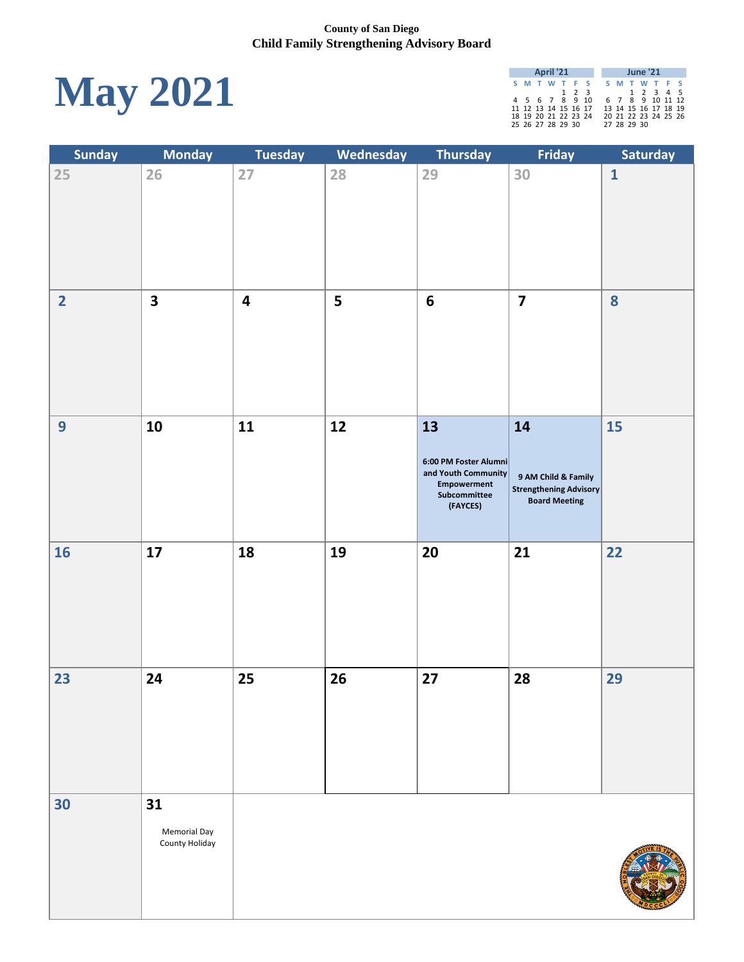

|                      | <b>April '21</b> |  |             |  |             | <b>June '21</b>      |  |
|----------------------|------------------|--|-------------|--|-------------|----------------------|--|
| S M T W T F S        |                  |  |             |  |             | S M T W T F S        |  |
|                      |                  |  | $1 \t2 \t3$ |  |             | 1 2 3 4 5            |  |
| 4 5 6 7 8 9 10       |                  |  |             |  |             | 6 7 8 9 10 11 12     |  |
| 11 12 13 14 15 16 17 |                  |  |             |  |             | 13 14 15 16 17 18 19 |  |
| 18 19 20 21 22 23 24 |                  |  |             |  |             | 20 21 22 23 24 25 26 |  |
| 25 26 27 28 29 30    |                  |  |             |  | 27 28 29 30 |                      |  |

| <b>Sunday</b>  | <b>Monday</b>                               | <b>Tuesday</b>          | Wednesday | <b>Thursday</b>                                                                                      | Friday                                                                             | Saturday     |
|----------------|---------------------------------------------|-------------------------|-----------|------------------------------------------------------------------------------------------------------|------------------------------------------------------------------------------------|--------------|
| 25             | 26                                          | 27                      | 28        | 29                                                                                                   | 30                                                                                 | $\mathbf{1}$ |
| $\overline{2}$ | $\overline{\mathbf{3}}$                     | $\overline{\mathbf{4}}$ | 5         | $6\phantom{1}6$                                                                                      | $\overline{\mathbf{7}}$                                                            | 8            |
| 9              | 10                                          | 11                      | 12        | 13<br>6:00 PM Foster Alumni<br>and Youth Community<br><b>Empowerment</b><br>Subcommittee<br>(FAYCES) | 14<br>9 AM Child & Family<br><b>Strengthening Advisory</b><br><b>Board Meeting</b> | <b>15</b>    |
| 16             | 17                                          | 18                      | 19        | 20                                                                                                   | 21                                                                                 | 22           |
| 23             | 24                                          | 25                      | 26        | 27                                                                                                   | 28                                                                                 | 29           |
| 30             | 31<br><b>Memorial Day</b><br>County Holiday |                         |           |                                                                                                      |                                                                                    |              |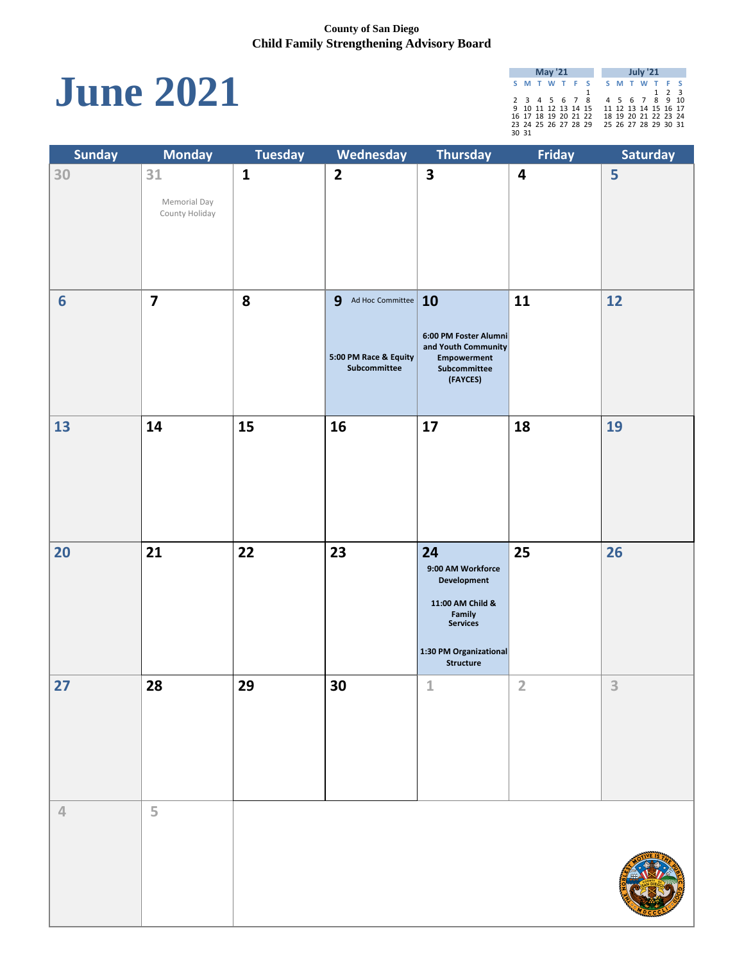# **June 2021**

| <b>May '21</b> |                      |  |  |  |  |  |  | <b>July '21</b> |                      |                   |  |
|----------------|----------------------|--|--|--|--|--|--|-----------------|----------------------|-------------------|--|
|                | S M T W T F S        |  |  |  |  |  |  |                 | S M T W T F S        |                   |  |
|                |                      |  |  |  |  |  |  |                 |                      | $1\quad 2\quad 3$ |  |
|                | 2 3 4 5 6 7 8        |  |  |  |  |  |  |                 | 4 5 6 7 8 9 10       |                   |  |
|                | 9 10 11 12 13 14 15  |  |  |  |  |  |  |                 | 11 12 13 14 15 16 17 |                   |  |
|                | 16 17 18 19 20 21 22 |  |  |  |  |  |  |                 | 18 19 20 21 22 23 24 |                   |  |
|                | 23 24 25 26 27 28 29 |  |  |  |  |  |  |                 | 25 26 27 28 29 30 31 |                   |  |
| 30 31          |                      |  |  |  |  |  |  |                 |                      |                   |  |

| <b>Sunday</b>  | <b>Monday</b>           | <b>Tuesday</b> | Wednesday                             | <b>Thursday</b>                              | Friday           | Saturday |
|----------------|-------------------------|----------------|---------------------------------------|----------------------------------------------|------------------|----------|
| 30             | 31                      | $\mathbf{1}$   | $\overline{2}$                        | $\overline{\mathbf{3}}$                      | $\boldsymbol{4}$ | 5        |
|                | Memorial Day            |                |                                       |                                              |                  |          |
|                | County Holiday          |                |                                       |                                              |                  |          |
|                |                         |                |                                       |                                              |                  |          |
|                |                         |                |                                       |                                              |                  |          |
|                |                         |                |                                       |                                              |                  |          |
| 6              | $\overline{\mathbf{z}}$ | 8              | 9<br>Ad Hoc Committee $\vert$ 10      |                                              | 11               | 12       |
|                |                         |                |                                       |                                              |                  |          |
|                |                         |                |                                       | 6:00 PM Foster Alumni<br>and Youth Community |                  |          |
|                |                         |                | 5:00 PM Race & Equity<br>Subcommittee | <b>Empowerment</b><br>Subcommittee           |                  |          |
|                |                         |                |                                       | (FAYCES)                                     |                  |          |
|                |                         |                |                                       |                                              |                  |          |
| 13             | 14                      | 15             | 16                                    | 17                                           | 18               | 19       |
|                |                         |                |                                       |                                              |                  |          |
|                |                         |                |                                       |                                              |                  |          |
|                |                         |                |                                       |                                              |                  |          |
|                |                         |                |                                       |                                              |                  |          |
|                |                         |                |                                       |                                              |                  |          |
| <b>20</b>      | 21                      | 22             | 23                                    | 24                                           | 25               | 26       |
|                |                         |                |                                       | 9:00 AM Workforce<br>Development             |                  |          |
|                |                         |                |                                       | 11:00 AM Child &                             |                  |          |
|                |                         |                |                                       | <b>Family</b><br>Services                    |                  |          |
|                |                         |                |                                       | 1:30 PM Organizational                       |                  |          |
|                |                         |                |                                       | <b>Structure</b>                             |                  |          |
| 27             | 28                      | 29             | 30                                    | 1                                            | $\overline{2}$   | 3        |
|                |                         |                |                                       |                                              |                  |          |
|                |                         |                |                                       |                                              |                  |          |
|                |                         |                |                                       |                                              |                  |          |
|                |                         |                |                                       |                                              |                  |          |
|                |                         |                |                                       |                                              |                  |          |
| $\overline{4}$ | 5                       |                |                                       |                                              |                  |          |
|                |                         |                |                                       |                                              |                  |          |
|                |                         |                |                                       |                                              |                  |          |
|                |                         |                |                                       |                                              |                  |          |
|                |                         |                |                                       |                                              |                  |          |
|                |                         |                |                                       |                                              |                  |          |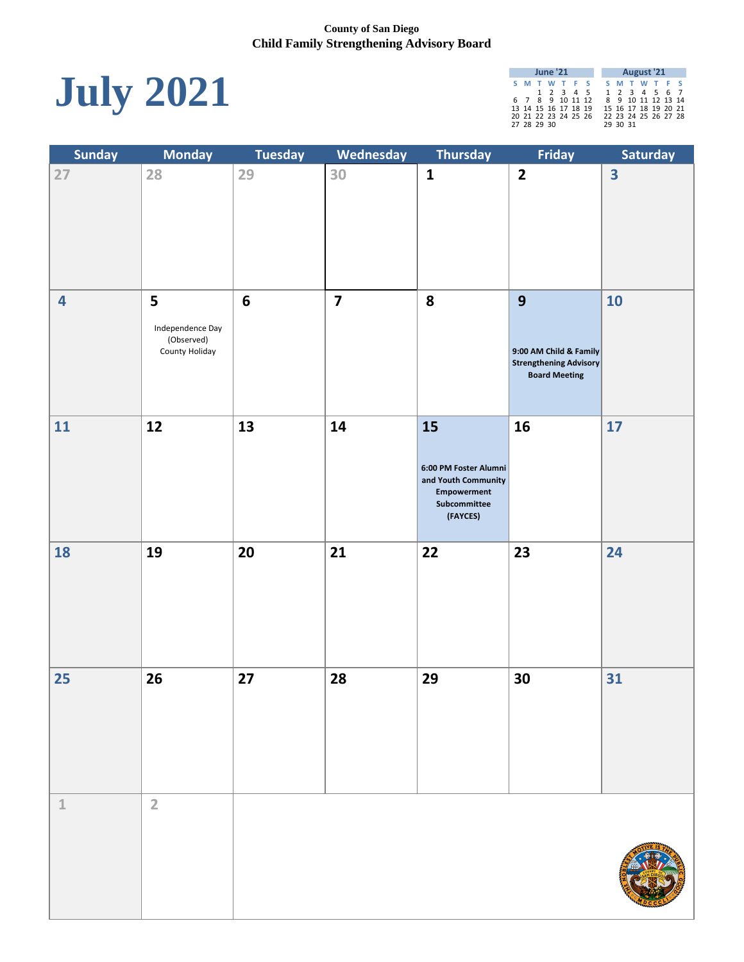

|  | <b>June '21</b>      |  |                      |  |          |  | <b>August '21</b>    |  |
|--|----------------------|--|----------------------|--|----------|--|----------------------|--|
|  | S M T W T F S        |  |                      |  |          |  | S M T W T F S        |  |
|  |                      |  | 1 2 3 4 5            |  |          |  | 1 2 3 4 5 6 7        |  |
|  | 6 7 8 9 10 11 12     |  |                      |  |          |  | 8 9 10 11 12 13 14   |  |
|  | 13 14 15 16 17 18 19 |  |                      |  |          |  | 15 16 17 18 19 20 21 |  |
|  |                      |  | 20 21 22 23 24 25 26 |  |          |  | 22 23 24 25 26 27 28 |  |
|  | 27 28 29 30          |  |                      |  | 29 30 31 |  |                      |  |

| <b>Sunday</b>           | <b>Monday</b>                                         | <b>Tuesday</b>  | Wednesday               | <b>Thursday</b>                                                                                      | Friday                                                                               | Saturday                |
|-------------------------|-------------------------------------------------------|-----------------|-------------------------|------------------------------------------------------------------------------------------------------|--------------------------------------------------------------------------------------|-------------------------|
| 27                      | 28                                                    | 29              | 30                      | $\mathbf{1}$                                                                                         | $\overline{2}$                                                                       | $\overline{\mathbf{3}}$ |
| $\overline{\mathbf{4}}$ | 5<br>Independence Day<br>(Observed)<br>County Holiday | $6\phantom{1}6$ | $\overline{\mathbf{z}}$ | 8                                                                                                    | 9<br>9:00 AM Child & Family<br><b>Strengthening Advisory</b><br><b>Board Meeting</b> | 10                      |
| 11                      | 12                                                    | 13              | 14                      | 15<br>6:00 PM Foster Alumni<br>and Youth Community<br><b>Empowerment</b><br>Subcommittee<br>(FAYCES) | 16                                                                                   | 17                      |
| 18                      | 19                                                    | 20              | 21                      | 22                                                                                                   | 23                                                                                   | 24                      |
| 25                      | 26                                                    | 27              | 28                      | 29                                                                                                   | 30                                                                                   | 31                      |
| $\mathbf 1$             | $\overline{2}$                                        |                 |                         |                                                                                                      |                                                                                      |                         |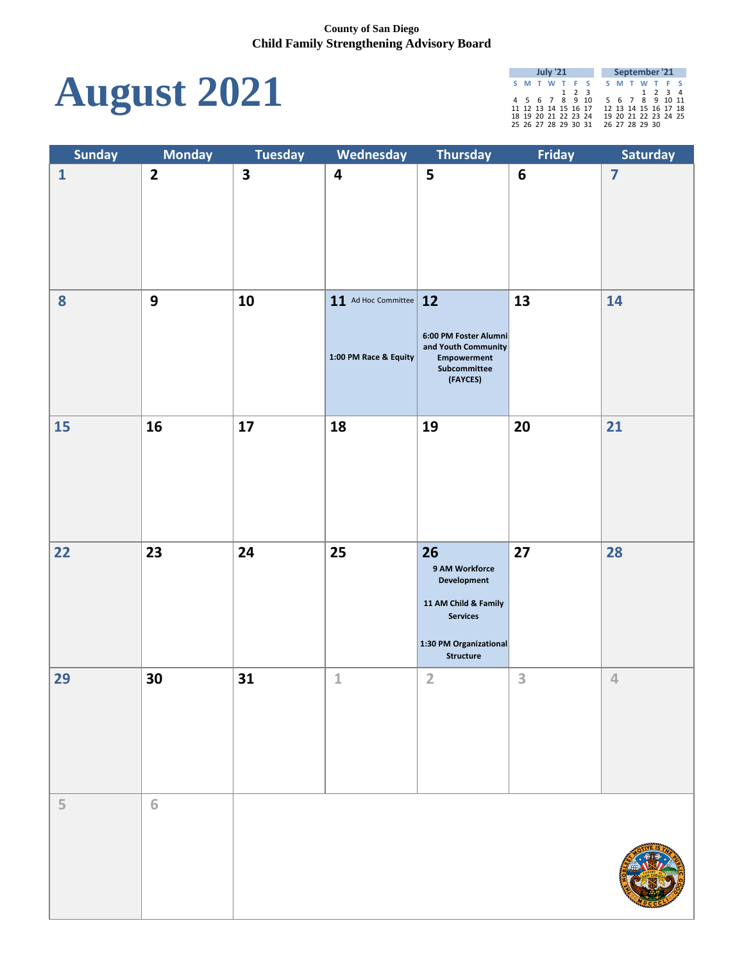

|  | <b>July '21</b> |                      |             |                |  | September '21        |  |
|--|-----------------|----------------------|-------------|----------------|--|----------------------|--|
|  |                 | S M T W T F S        |             |                |  | S M T W T F S        |  |
|  |                 |                      | $1 \t2 \t3$ |                |  | 1 2 3 4              |  |
|  |                 | 4 5 6 7 8 9 10       |             |                |  | 5 6 7 8 9 10 11      |  |
|  |                 | 11 12 13 14 15 16 17 |             |                |  | 12 13 14 15 16 17 18 |  |
|  |                 | 18 19 20 21 22 23 24 |             |                |  | 19 20 21 22 23 24 25 |  |
|  |                 | 25 26 27 28 29 30 31 |             | 26 27 28 29 30 |  |                      |  |

| <b>Sunday</b> | <b>Monday</b>           | <b>Tuesday</b>          | Wednesday                                           | Thursday                                                                                                                            | Friday          | Saturday                |
|---------------|-------------------------|-------------------------|-----------------------------------------------------|-------------------------------------------------------------------------------------------------------------------------------------|-----------------|-------------------------|
| $\mathbf{1}$  | $\overline{\mathbf{2}}$ | $\overline{\mathbf{3}}$ | $\overline{\mathbf{4}}$                             | 5                                                                                                                                   | $6\phantom{1}6$ | $\overline{\mathbf{z}}$ |
| 8             | 9                       | 10                      | $11$ Ad Hoc Committee $12$<br>1:00 PM Race & Equity | 6:00 PM Foster Alumni<br>and Youth Community<br>Empowerment<br>Subcommittee<br>(FAYCES)                                             | 13              | 14                      |
| 15            | 16                      | 17                      | 18                                                  | 19                                                                                                                                  | 20              | 21                      |
| 22            | 23                      | 24                      | 25                                                  | 26<br>9 AM Workforce<br><b>Development</b><br>11 AM Child & Family<br><b>Services</b><br>1:30 PM Organizational<br><b>Structure</b> | 27              | 28                      |
| 29            | 30                      | 31                      | $\mathbf{1}$                                        | $\overline{2}$                                                                                                                      | 3               | $\overline{4}$          |
| 5             | 6                       |                         |                                                     |                                                                                                                                     |                 |                         |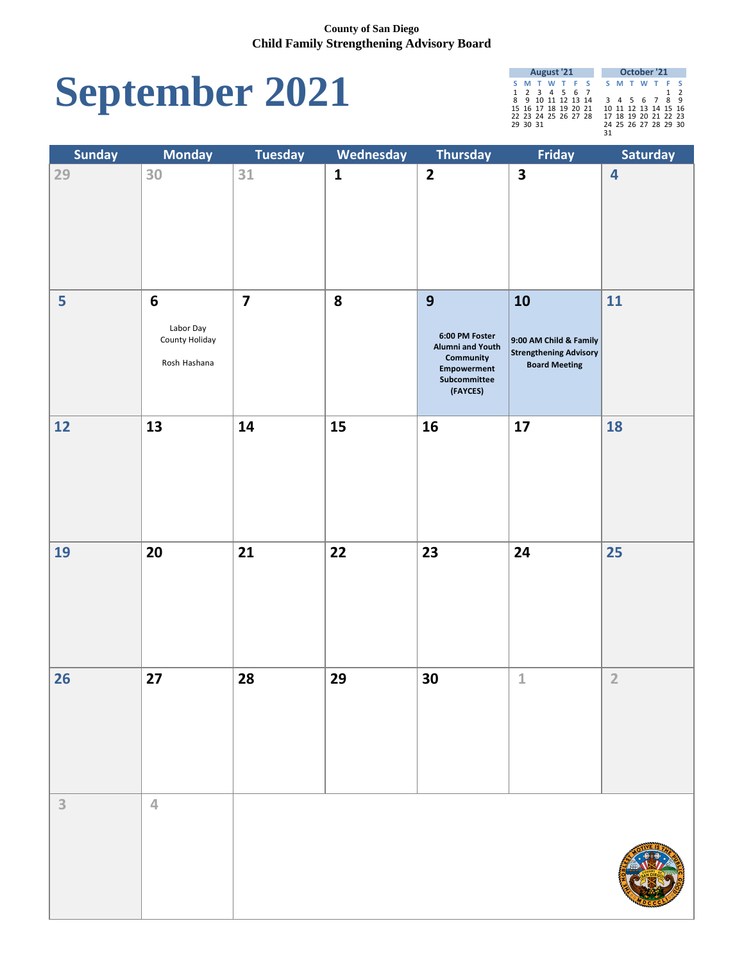# **September 2021**

|               | <b>August '21</b>    |  |  |  |  |  |    |  | October '21          |          |
|---------------|----------------------|--|--|--|--|--|----|--|----------------------|----------|
| S M T W T F S |                      |  |  |  |  |  |    |  | S M T W T F S        |          |
|               | 1 2 3 4 5 6 7        |  |  |  |  |  |    |  |                      | $1\quad$ |
|               | 8 9 10 11 12 13 14   |  |  |  |  |  |    |  | 3 4 5 6 7 8 9        |          |
|               | 15 16 17 18 19 20 21 |  |  |  |  |  |    |  | 10 11 12 13 14 15 16 |          |
|               | 22 23 24 25 26 27 28 |  |  |  |  |  |    |  | 17 18 19 20 21 22 23 |          |
| 29 30 31      |                      |  |  |  |  |  |    |  | 24 25 26 27 28 29 30 |          |
|               |                      |  |  |  |  |  | 31 |  |                      |          |

| <b>Sunday</b> | <b>Monday</b>                                                  | <b>Tuesday</b>          | Wednesday    | <b>Thursday</b>                                                                                               | Friday                                                                                | Saturday                |
|---------------|----------------------------------------------------------------|-------------------------|--------------|---------------------------------------------------------------------------------------------------------------|---------------------------------------------------------------------------------------|-------------------------|
| 29            | 30                                                             | 31                      | $\mathbf{1}$ | $\overline{\mathbf{2}}$                                                                                       | $\overline{\mathbf{3}}$                                                               | $\overline{\mathbf{4}}$ |
| 5             | $6\phantom{1}6$<br>Labor Day<br>County Holiday<br>Rosh Hashana | $\overline{\mathbf{z}}$ | 8            | 9<br>6:00 PM Foster<br><b>Alumni and Youth</b><br>Community<br><b>Empowerment</b><br>Subcommittee<br>(FAYCES) | 10<br>9:00 AM Child & Family<br><b>Strengthening Advisory</b><br><b>Board Meeting</b> | 11                      |
| 12            | 13                                                             | 14                      | 15           | <b>16</b>                                                                                                     | 17                                                                                    | 18                      |
| 19            | 20                                                             | 21                      | $22$         | 23                                                                                                            | 24                                                                                    | 25                      |
| 26            | 27                                                             | 28                      | 29           | 30                                                                                                            | $\mathbf{1}$                                                                          | $\overline{2}$          |
| 3             | 4                                                              |                         |              |                                                                                                               |                                                                                       |                         |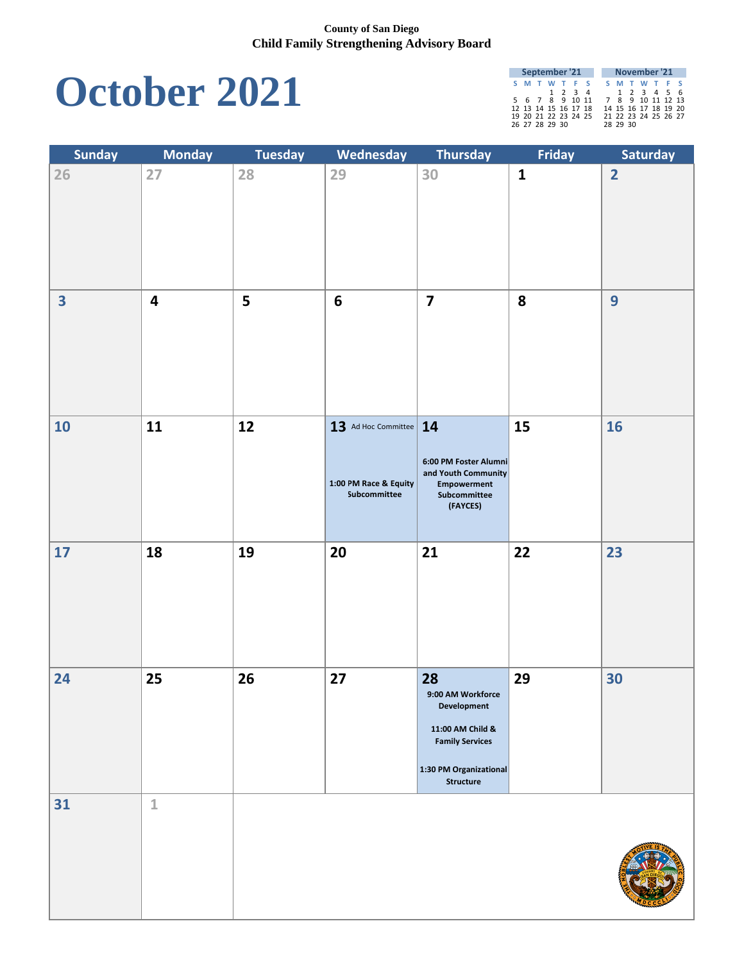### **October 2021**

| September '21        |  |  |                      |                   |          | November '21         |  |  |
|----------------------|--|--|----------------------|-------------------|----------|----------------------|--|--|
| S M T W T F S        |  |  |                      |                   |          | S M T W T F S        |  |  |
|                      |  |  | 1 2 3 4              |                   |          | 1 2 3 4 5 6          |  |  |
| 5 6 7 8 9 10 11      |  |  |                      | 7 8 9 10 11 12 13 |          |                      |  |  |
| 12 13 14 15 16 17 18 |  |  |                      |                   |          | 14 15 16 17 18 19 20 |  |  |
|                      |  |  | 19 20 21 22 23 24 25 |                   |          | 21 22 23 24 25 26 27 |  |  |
| 26 27 28 29 30       |  |  |                      |                   | 28 29 30 |                      |  |  |

| <b>Sunday</b>           | <b>Monday</b>    | <b>Tuesday</b> | Wednesday                                                           | Thursday                                                                                                                                  | Friday       | Saturday       |
|-------------------------|------------------|----------------|---------------------------------------------------------------------|-------------------------------------------------------------------------------------------------------------------------------------------|--------------|----------------|
| 26                      | 27               | 28             | 29                                                                  | 30                                                                                                                                        | $\mathbf{1}$ | $\overline{2}$ |
| $\overline{\mathbf{3}}$ | $\boldsymbol{4}$ | 5              | $6\phantom{1}$                                                      | $\overline{\mathbf{7}}$                                                                                                                   | 8            | 9              |
| 10                      | 11               | 12             | $13$ Ad Hoc Committee   14<br>1:00 PM Race & Equity<br>Subcommittee | 6:00 PM Foster Alumni<br>and Youth Community<br>Empowerment<br>Subcommittee<br>(FAYCES)                                                   | 15           | <b>16</b>      |
| $17$                    | 18               | 19             | 20                                                                  | 21                                                                                                                                        | 22           | 23             |
| 24                      | 25               | 26             | 27                                                                  | 28<br>9:00 AM Workforce<br><b>Development</b><br>11:00 AM Child &<br><b>Family Services</b><br>1:30 PM Organizational<br><b>Structure</b> | 29           | 30             |
| 31                      | $\mathbf{1}$     |                |                                                                     |                                                                                                                                           |              |                |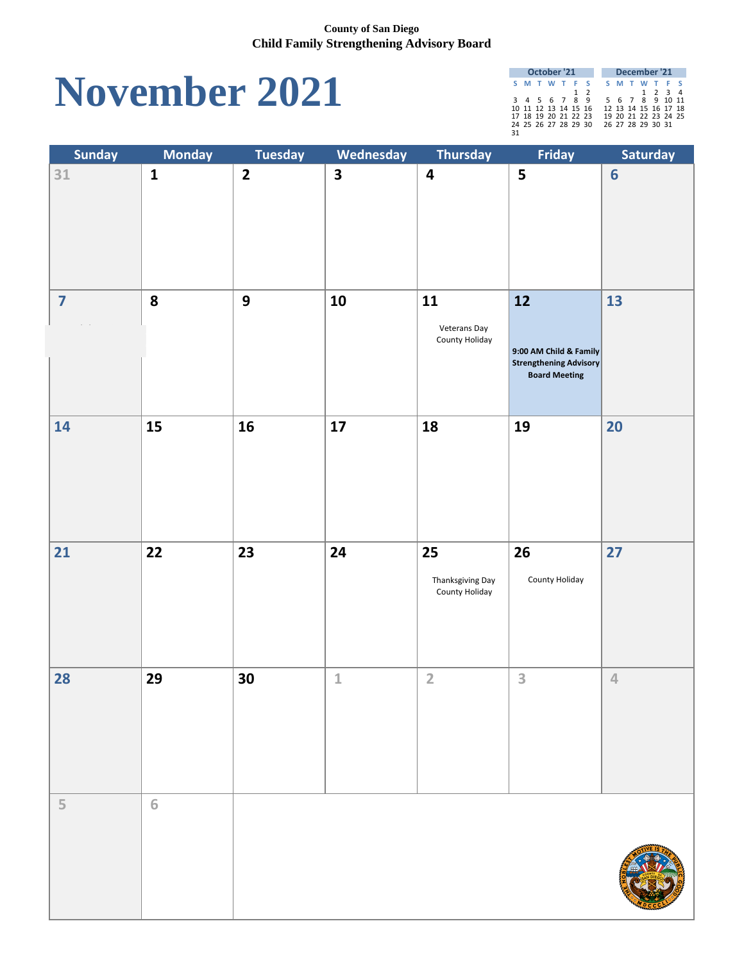### **November 2021**

|    |  | October '21          |     |  |  | December '21         |  |
|----|--|----------------------|-----|--|--|----------------------|--|
|    |  | S M T W T F S        |     |  |  | S M T W T F S        |  |
|    |  |                      | 1 2 |  |  | 1 2 3 4              |  |
|    |  | 3 4 5 6 7 8 9        |     |  |  | 5 6 7 8 9 10 11      |  |
|    |  | 10 11 12 13 14 15 16 |     |  |  | 12 13 14 15 16 17 18 |  |
|    |  | 17 18 19 20 21 22 23 |     |  |  | 19 20 21 22 23 24 25 |  |
|    |  | 24 25 26 27 28 29 30 |     |  |  | 26 27 28 29 30 31    |  |
| 31 |  |                      |     |  |  |                      |  |

| <b>Sunday</b>           | <b>Monday</b> | <b>Tuesday</b>          | Wednesday               | <b>Thursday</b>                                 | Friday                                                                                | Saturday        |
|-------------------------|---------------|-------------------------|-------------------------|-------------------------------------------------|---------------------------------------------------------------------------------------|-----------------|
| 31                      | $\mathbf{1}$  | $\overline{\mathbf{2}}$ | $\overline{\mathbf{3}}$ | $\overline{\mathbf{4}}$                         | 5                                                                                     | $6\phantom{1}6$ |
| $\overline{\mathbf{z}}$ | 8             | 9                       | 10                      | 11<br>Veterans Day<br>County Holiday            | 12<br>9:00 AM Child & Family<br><b>Strengthening Advisory</b><br><b>Board Meeting</b> | 13              |
| 14                      | 15            | 16                      | 17                      | 18                                              | 19                                                                                    | 20              |
| $\overline{21}$         | <b>22</b>     | <b>23</b>               | 24                      | <b>25</b><br>Thanksgiving Day<br>County Holiday | 26<br>County Holiday                                                                  | 27              |
| 28                      | 29            | 30                      | $\mathbf{1}$            | $\overline{2}$                                  | 3                                                                                     | $\overline{4}$  |
| 5                       | 6             |                         |                         |                                                 |                                                                                       |                 |